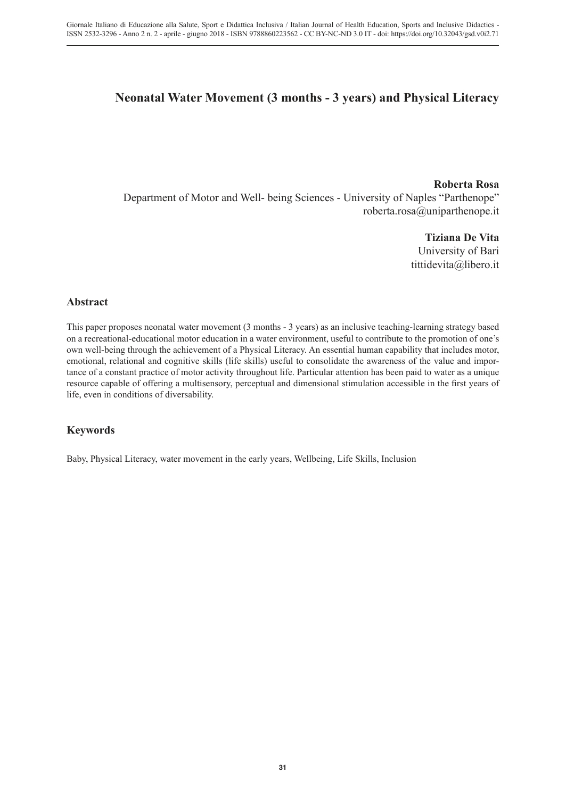# **Neonatal Water Movement (3 months - 3 years) and Physical Literacy**

**Roberta Rosa** Department of Motor and Well- being Sciences - University of Naples "Parthenope" roberta.rosa@uniparthenope.it

> **Tiziana De Vita** University of Bari tittidevita@libero.it

## **Abstract**

This paper proposes neonatal water movement (3 months - 3 years) as an inclusive teaching-learning strategy based on a recreational-educational motor education in a water environment, useful to contribute to the promotion of one's own well-being through the achievement of a Physical Literacy. An essential human capability that includes motor, emotional, relational and cognitive skills (life skills) useful to consolidate the awareness of the value and importance of a constant practice of motor activity throughout life. Particular attention has been paid to water as a unique resource capable of offering a multisensory, perceptual and dimensional stimulation accessible in the first years of life, even in conditions of diversability.

## **Keywords**

Baby, Physical Literacy, water movement in the early years, Wellbeing, Life Skills, Inclusion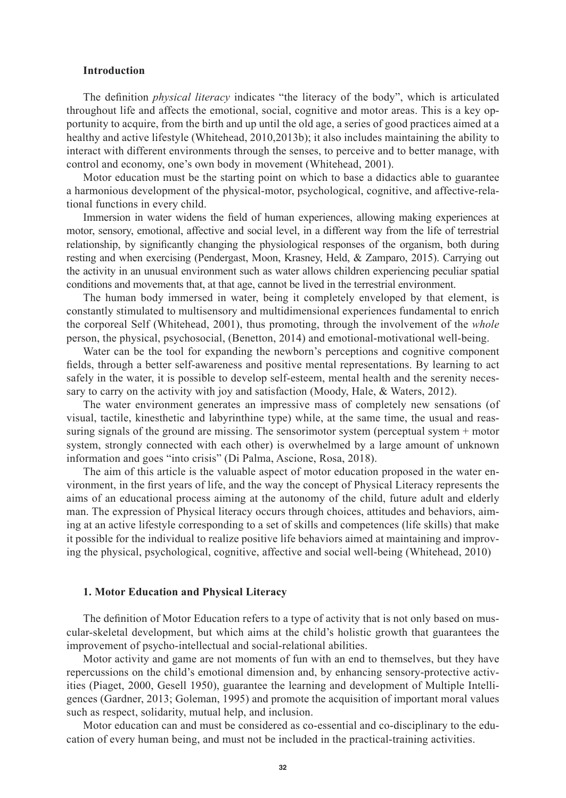## **Introduction**

The definition *physical literacy* indicates "the literacy of the body", which is articulated throughout life and affects the emotional, social, cognitive and motor areas. This is a key opportunity to acquire, from the birth and up until the old age, a series of good practices aimed at a healthy and active lifestyle (Whitehead, 2010,2013b); it also includes maintaining the ability to interact with different environments through the senses, to perceive and to better manage, with control and economy, one's own body in movement (Whitehead, 2001).

Motor education must be the starting point on which to base a didactics able to guarantee a harmonious development of the physical-motor, psychological, cognitive, and affective-relational functions in every child.

Immersion in water widens the field of human experiences, allowing making experiences at motor, sensory, emotional, affective and social level, in a different way from the life of terrestrial relationship, by significantly changing the physiological responses of the organism, both during resting and when exercising (Pendergast, Moon, Krasney, Held, & Zamparo, 2015). Carrying out the activity in an unusual environment such as water allows children experiencing peculiar spatial conditions and movements that, at that age, cannot be lived in the terrestrial environment.

The human body immersed in water, being it completely enveloped by that element, is constantly stimulated to multisensory and multidimensional experiences fundamental to enrich the corporeal Self (Whitehead, 2001), thus promoting, through the involvement of the *whole*  person, the physical, psychosocial, (Benetton, 2014) and emotional-motivational well-being.

Water can be the tool for expanding the newborn's perceptions and cognitive component fields, through a better self-awareness and positive mental representations. By learning to act safely in the water, it is possible to develop self-esteem, mental health and the serenity necessary to carry on the activity with joy and satisfaction (Moody, Hale, & Waters, 2012).

The water environment generates an impressive mass of completely new sensations (of visual, tactile, kinesthetic and labyrinthine type) while, at the same time, the usual and reassuring signals of the ground are missing. The sensorimotor system (perceptual system + motor system, strongly connected with each other) is overwhelmed by a large amount of unknown information and goes "into crisis" (Di Palma, Ascione, Rosa, 2018).

The aim of this article is the valuable aspect of motor education proposed in the water environment, in the first years of life, and the way the concept of Physical Literacy represents the aims of an educational process aiming at the autonomy of the child, future adult and elderly man. The expression of Physical literacy occurs through choices, attitudes and behaviors, aiming at an active lifestyle corresponding to a set of skills and competences (life skills) that make it possible for the individual to realize positive life behaviors aimed at maintaining and improving the physical, psychological, cognitive, affective and social well-being (Whitehead, 2010)

#### **1. Motor Education and Physical Literacy**

The definition of Motor Education refers to a type of activity that is not only based on muscular-skeletal development, but which aims at the child's holistic growth that guarantees the improvement of psycho-intellectual and social-relational abilities.

Motor activity and game are not moments of fun with an end to themselves, but they have repercussions on the child's emotional dimension and, by enhancing sensory-protective activities (Piaget, 2000, Gesell 1950), guarantee the learning and development of Multiple Intelligences (Gardner, 2013; Goleman, 1995) and promote the acquisition of important moral values such as respect, solidarity, mutual help, and inclusion.

Motor education can and must be considered as co-essential and co-disciplinary to the education of every human being, and must not be included in the practical-training activities.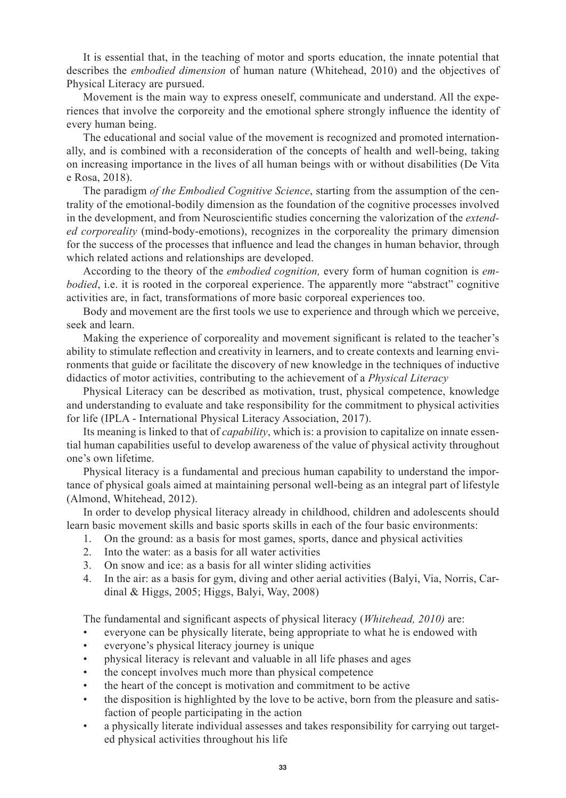It is essential that, in the teaching of motor and sports education, the innate potential that describes the *embodied dimension* of human nature (Whitehead, 2010) and the objectives of Physical Literacy are pursued.

Movement is the main way to express oneself, communicate and understand. All the experiences that involve the corporeity and the emotional sphere strongly influence the identity of every human being.

The educational and social value of the movement is recognized and promoted internationally, and is combined with a reconsideration of the concepts of health and well-being, taking on increasing importance in the lives of all human beings with or without disabilities (De Vita e Rosa, 2018).

The paradigm *of the Embodied Cognitive Science*, starting from the assumption of the centrality of the emotional-bodily dimension as the foundation of the cognitive processes involved in the development, and from Neuroscientific studies concerning the valorization of the *extended corporeality* (mind-body-emotions), recognizes in the corporeality the primary dimension for the success of the processes that influence and lead the changes in human behavior, through which related actions and relationships are developed.

According to the theory of the *embodied cognition,* every form of human cognition is *embodied*, i.e. it is rooted in the corporeal experience. The apparently more "abstract" cognitive activities are, in fact, transformations of more basic corporeal experiences too.

Body and movement are the first tools we use to experience and through which we perceive, seek and learn.

Making the experience of corporeality and movement significant is related to the teacher's ability to stimulate reflection and creativity in learners, and to create contexts and learning environments that guide or facilitate the discovery of new knowledge in the techniques of inductive didactics of motor activities, contributing to the achievement of a *Physical Literacy*

Physical Literacy can be described as motivation, trust, physical competence, knowledge and understanding to evaluate and take responsibility for the commitment to physical activities for life (IPLA - International Physical Literacy Association, 2017).

Its meaning is linked to that of *capability*, which is: a provision to capitalize on innate essential human capabilities useful to develop awareness of the value of physical activity throughout one's own lifetime.

Physical literacy is a fundamental and precious human capability to understand the importance of physical goals aimed at maintaining personal well-being as an integral part of lifestyle (Almond, Whitehead, 2012).

In order to develop physical literacy already in childhood, children and adolescents should learn basic movement skills and basic sports skills in each of the four basic environments:

- 1. On the ground: as a basis for most games, sports, dance and physical activities
- 2. Into the water: as a basis for all water activities
- 3. On snow and ice: as a basis for all winter sliding activities
- 4. In the air: as a basis for gym, diving and other aerial activities (Balyi, Via, Norris, Cardinal & Higgs, 2005; Higgs, Balyi, Way, 2008)

The fundamental and significant aspects of physical literacy (*Whitehead, 2010)* are:

- everyone can be physically literate, being appropriate to what he is endowed with
- everyone's physical literacy journey is unique
- physical literacy is relevant and valuable in all life phases and ages
- the concept involves much more than physical competence
- the heart of the concept is motivation and commitment to be active
- the disposition is highlighted by the love to be active, born from the pleasure and satisfaction of people participating in the action
- a physically literate individual assesses and takes responsibility for carrying out targeted physical activities throughout his life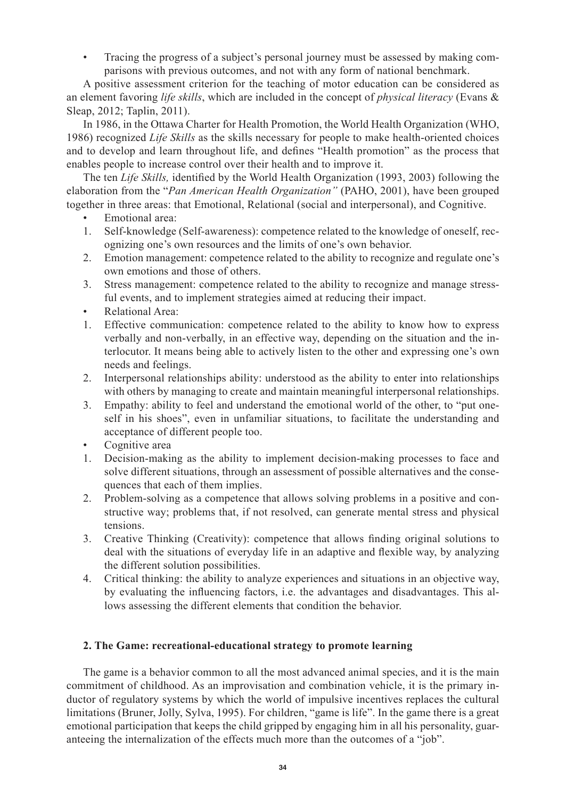• Tracing the progress of a subject's personal journey must be assessed by making comparisons with previous outcomes, and not with any form of national benchmark.

A positive assessment criterion for the teaching of motor education can be considered as an element favoring *life skills*, which are included in the concept of *physical literacy* (Evans & Sleap, 2012; Taplin, 2011).

In 1986, in the Ottawa Charter for Health Promotion, the World Health Organization (WHO, 1986) recognized *Life Skills* as the skills necessary for people to make health-oriented choices and to develop and learn throughout life, and defines "Health promotion" as the process that enables people to increase control over their health and to improve it.

The ten *Life Skills,* identified by the World Health Organization (1993, 2003) following the elaboration from the "*Pan American Health Organization"* (PAHO, 2001), have been grouped together in three areas: that Emotional, Relational (social and interpersonal), and Cognitive.

- Emotional area:
- 1. Self-knowledge (Self-awareness): competence related to the knowledge of oneself, recognizing one's own resources and the limits of one's own behavior.
- 2. Emotion management: competence related to the ability to recognize and regulate one's own emotions and those of others.
- 3. Stress management: competence related to the ability to recognize and manage stressful events, and to implement strategies aimed at reducing their impact.
- Relational Area:
- 1. Effective communication: competence related to the ability to know how to express verbally and non-verbally, in an effective way, depending on the situation and the interlocutor. It means being able to actively listen to the other and expressing one's own needs and feelings.
- 2. Interpersonal relationships ability: understood as the ability to enter into relationships with others by managing to create and maintain meaningful interpersonal relationships.
- 3. Empathy: ability to feel and understand the emotional world of the other, to "put oneself in his shoes", even in unfamiliar situations, to facilitate the understanding and acceptance of different people too.
- Cognitive area
- 1. Decision-making as the ability to implement decision-making processes to face and solve different situations, through an assessment of possible alternatives and the consequences that each of them implies.
- 2. Problem-solving as a competence that allows solving problems in a positive and constructive way; problems that, if not resolved, can generate mental stress and physical tensions.
- 3. Creative Thinking (Creativity): competence that allows finding original solutions to deal with the situations of everyday life in an adaptive and flexible way, by analyzing the different solution possibilities.
- 4. Critical thinking: the ability to analyze experiences and situations in an objective way, by evaluating the influencing factors, i.e. the advantages and disadvantages. This allows assessing the different elements that condition the behavior.

## **2. The Game: recreational-educational strategy to promote learning**

The game is a behavior common to all the most advanced animal species, and it is the main commitment of childhood. As an improvisation and combination vehicle, it is the primary inductor of regulatory systems by which the world of impulsive incentives replaces the cultural limitations (Bruner, Jolly, Sylva, 1995). For children, "game is life". In the game there is a great emotional participation that keeps the child gripped by engaging him in all his personality, guaranteeing the internalization of the effects much more than the outcomes of a "job".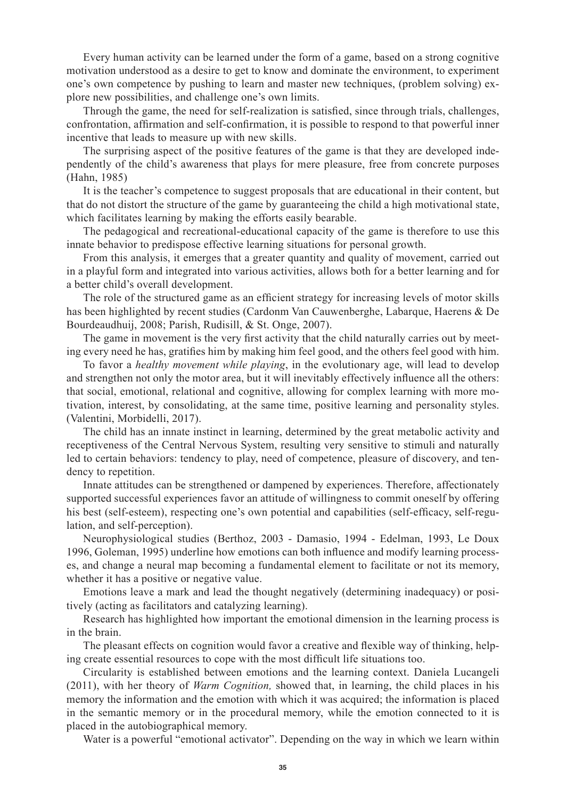Every human activity can be learned under the form of a game, based on a strong cognitive motivation understood as a desire to get to know and dominate the environment, to experiment one's own competence by pushing to learn and master new techniques, (problem solving) explore new possibilities, and challenge one's own limits.

Through the game, the need for self-realization is satisfied, since through trials, challenges, confrontation, affirmation and self-confirmation, it is possible to respond to that powerful inner incentive that leads to measure up with new skills.

The surprising aspect of the positive features of the game is that they are developed independently of the child's awareness that plays for mere pleasure, free from concrete purposes (Hahn, 1985)

It is the teacher's competence to suggest proposals that are educational in their content, but that do not distort the structure of the game by guaranteeing the child a high motivational state, which facilitates learning by making the efforts easily bearable.

The pedagogical and recreational-educational capacity of the game is therefore to use this innate behavior to predispose effective learning situations for personal growth.

From this analysis, it emerges that a greater quantity and quality of movement, carried out in a playful form and integrated into various activities, allows both for a better learning and for a better child's overall development.

The role of the structured game as an efficient strategy for increasing levels of motor skills has been highlighted by recent studies (Cardonm Van Cauwenberghe, Labarque, Haerens & De Bourdeaudhuij, 2008; Parish, Rudisill, & St. Onge, 2007).

The game in movement is the very first activity that the child naturally carries out by meeting every need he has, gratifies him by making him feel good, and the others feel good with him.

To favor a *healthy movement while playing*, in the evolutionary age, will lead to develop and strengthen not only the motor area, but it will inevitably effectively influence all the others: that social, emotional, relational and cognitive, allowing for complex learning with more motivation, interest, by consolidating, at the same time, positive learning and personality styles. (Valentini, Morbidelli, 2017).

The child has an innate instinct in learning, determined by the great metabolic activity and receptiveness of the Central Nervous System, resulting very sensitive to stimuli and naturally led to certain behaviors: tendency to play, need of competence, pleasure of discovery, and tendency to repetition.

Innate attitudes can be strengthened or dampened by experiences. Therefore, affectionately supported successful experiences favor an attitude of willingness to commit oneself by offering his best (self-esteem), respecting one's own potential and capabilities (self-efficacy, self-regulation, and self-perception).

Neurophysiological studies (Berthoz, 2003 - Damasio, 1994 - Edelman, 1993, Le Doux 1996, Goleman, 1995) underline how emotions can both influence and modify learning processes, and change a neural map becoming a fundamental element to facilitate or not its memory, whether it has a positive or negative value.

Emotions leave a mark and lead the thought negatively (determining inadequacy) or positively (acting as facilitators and catalyzing learning).

Research has highlighted how important the emotional dimension in the learning process is in the brain.

The pleasant effects on cognition would favor a creative and flexible way of thinking, helping create essential resources to cope with the most difficult life situations too.

Circularity is established between emotions and the learning context. Daniela Lucangeli (2011), with her theory of *Warm Cognition,* showed that, in learning, the child places in his memory the information and the emotion with which it was acquired; the information is placed in the semantic memory or in the procedural memory, while the emotion connected to it is placed in the autobiographical memory.

Water is a powerful "emotional activator". Depending on the way in which we learn within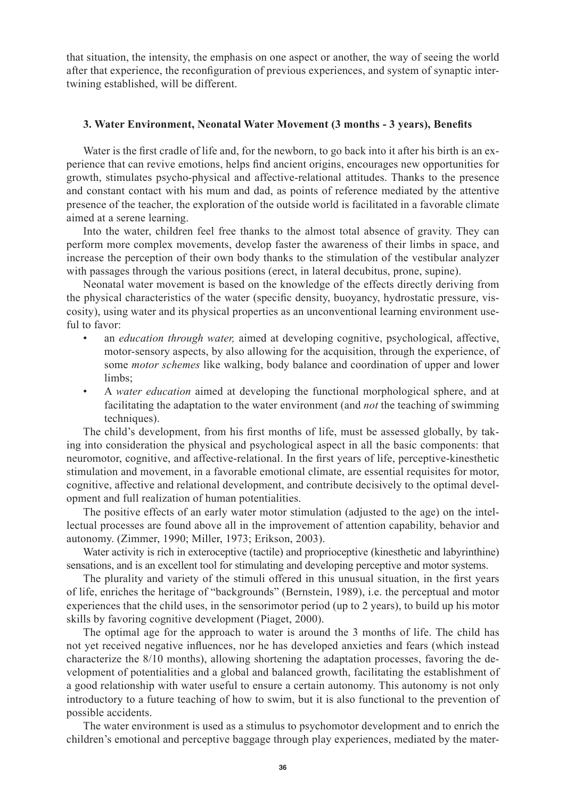that situation, the intensity, the emphasis on one aspect or another, the way of seeing the world after that experience, the reconfiguration of previous experiences, and system of synaptic intertwining established, will be different.

## **3. Water Environment, Neonatal Water Movement (3 months - 3 years), Benefits**

Water is the first cradle of life and, for the newborn, to go back into it after his birth is an experience that can revive emotions, helps find ancient origins, encourages new opportunities for growth, stimulates psycho-physical and affective-relational attitudes. Thanks to the presence and constant contact with his mum and dad, as points of reference mediated by the attentive presence of the teacher, the exploration of the outside world is facilitated in a favorable climate aimed at a serene learning.

Into the water, children feel free thanks to the almost total absence of gravity. They can perform more complex movements, develop faster the awareness of their limbs in space, and increase the perception of their own body thanks to the stimulation of the vestibular analyzer with passages through the various positions (erect, in lateral decubitus, prone, supine).

Neonatal water movement is based on the knowledge of the effects directly deriving from the physical characteristics of the water (specific density, buoyancy, hydrostatic pressure, viscosity), using water and its physical properties as an unconventional learning environment useful to favor:

- an *education through water,* aimed at developing cognitive, psychological, affective, motor-sensory aspects, by also allowing for the acquisition, through the experience, of some *motor schemes* like walking, body balance and coordination of upper and lower limbs:
- A *water education* aimed at developing the functional morphological sphere, and at facilitating the adaptation to the water environment (and *not* the teaching of swimming techniques).

The child's development, from his first months of life, must be assessed globally, by taking into consideration the physical and psychological aspect in all the basic components: that neuromotor, cognitive, and affective-relational. In the first years of life, perceptive-kinesthetic stimulation and movement, in a favorable emotional climate, are essential requisites for motor, cognitive, affective and relational development, and contribute decisively to the optimal development and full realization of human potentialities.

The positive effects of an early water motor stimulation (adjusted to the age) on the intellectual processes are found above all in the improvement of attention capability, behavior and autonomy. (Zimmer, 1990; Miller, 1973; Erikson, 2003).

Water activity is rich in exteroceptive (tactile) and proprioceptive (kinesthetic and labyrinthine) sensations, and is an excellent tool for stimulating and developing perceptive and motor systems.

The plurality and variety of the stimuli offered in this unusual situation, in the first years of life, enriches the heritage of "backgrounds" (Bernstein, 1989), i.e. the perceptual and motor experiences that the child uses, in the sensorimotor period (up to 2 years), to build up his motor skills by favoring cognitive development (Piaget, 2000).

The optimal age for the approach to water is around the 3 months of life. The child has not yet received negative influences, nor he has developed anxieties and fears (which instead characterize the 8/10 months), allowing shortening the adaptation processes, favoring the development of potentialities and a global and balanced growth, facilitating the establishment of a good relationship with water useful to ensure a certain autonomy. This autonomy is not only introductory to a future teaching of how to swim, but it is also functional to the prevention of possible accidents.

The water environment is used as a stimulus to psychomotor development and to enrich the children's emotional and perceptive baggage through play experiences, mediated by the mater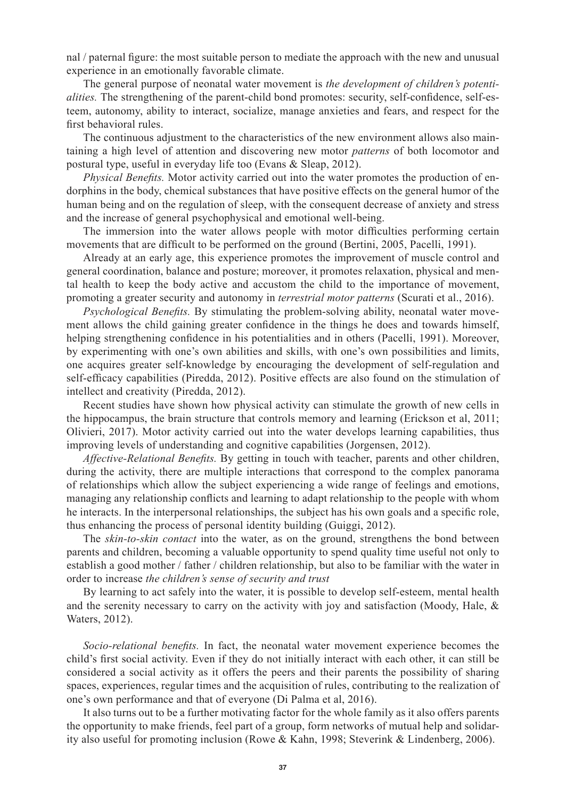nal / paternal figure: the most suitable person to mediate the approach with the new and unusual experience in an emotionally favorable climate.

The general purpose of neonatal water movement is *the development of children's potentialities.* The strengthening of the parent-child bond promotes: security, self-confidence, self-esteem, autonomy, ability to interact, socialize, manage anxieties and fears, and respect for the first behavioral rules.

The continuous adjustment to the characteristics of the new environment allows also maintaining a high level of attention and discovering new motor *patterns* of both locomotor and postural type, useful in everyday life too (Evans & Sleap, 2012).

*Physical Benefits.* Motor activity carried out into the water promotes the production of endorphins in the body, chemical substances that have positive effects on the general humor of the human being and on the regulation of sleep, with the consequent decrease of anxiety and stress and the increase of general psychophysical and emotional well-being.

The immersion into the water allows people with motor difficulties performing certain movements that are difficult to be performed on the ground (Bertini, 2005, Pacelli, 1991).

Already at an early age, this experience promotes the improvement of muscle control and general coordination, balance and posture; moreover, it promotes relaxation, physical and mental health to keep the body active and accustom the child to the importance of movement, promoting a greater security and autonomy in *terrestrial motor patterns* (Scurati et al., 2016).

*Psychological Benefits.* By stimulating the problem-solving ability, neonatal water movement allows the child gaining greater confidence in the things he does and towards himself, helping strengthening confidence in his potentialities and in others (Pacelli, 1991). Moreover, by experimenting with one's own abilities and skills, with one's own possibilities and limits, one acquires greater self-knowledge by encouraging the development of self-regulation and self-efficacy capabilities (Piredda, 2012). Positive effects are also found on the stimulation of intellect and creativity (Piredda, 2012).

Recent studies have shown how physical activity can stimulate the growth of new cells in the hippocampus, the brain structure that controls memory and learning (Erickson et al, 2011; Olivieri, 2017). Motor activity carried out into the water develops learning capabilities, thus improving levels of understanding and cognitive capabilities (Jorgensen, 2012).

*Affective-Relational Benefits.* By getting in touch with teacher, parents and other children, during the activity, there are multiple interactions that correspond to the complex panorama of relationships which allow the subject experiencing a wide range of feelings and emotions, managing any relationship conflicts and learning to adapt relationship to the people with whom he interacts. In the interpersonal relationships, the subject has his own goals and a specific role, thus enhancing the process of personal identity building (Guiggi, 2012).

The *skin-to-skin contact* into the water, as on the ground, strengthens the bond between parents and children, becoming a valuable opportunity to spend quality time useful not only to establish a good mother / father / children relationship, but also to be familiar with the water in order to increase *the children's sense of security and trust*

By learning to act safely into the water, it is possible to develop self-esteem, mental health and the serenity necessary to carry on the activity with joy and satisfaction (Moody, Hale,  $\&$ Waters, 2012).

*Socio-relational benefits.* In fact, the neonatal water movement experience becomes the child's first social activity. Even if they do not initially interact with each other, it can still be considered a social activity as it offers the peers and their parents the possibility of sharing spaces, experiences, regular times and the acquisition of rules, contributing to the realization of one's own performance and that of everyone (Di Palma et al, 2016).

It also turns out to be a further motivating factor for the whole family as it also offers parents the opportunity to make friends, feel part of a group, form networks of mutual help and solidarity also useful for promoting inclusion (Rowe & Kahn, 1998; Steverink & Lindenberg, 2006).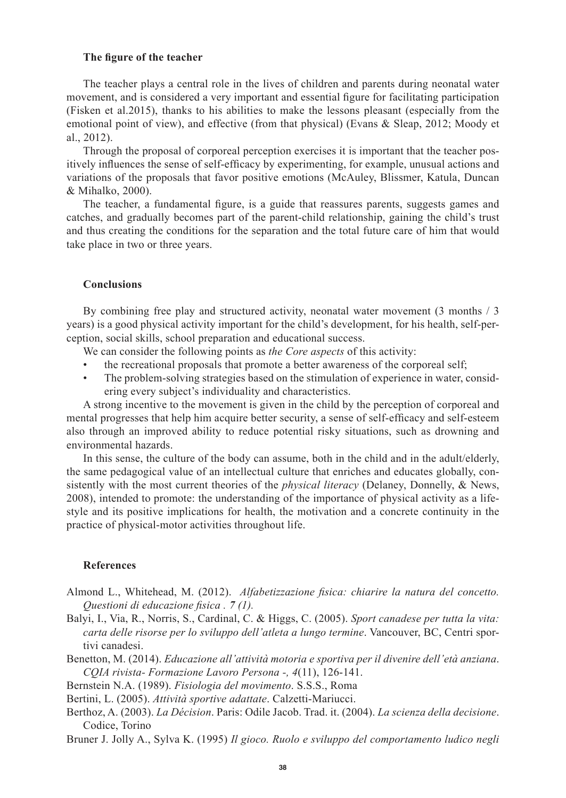## **The figure of the teacher**

The teacher plays a central role in the lives of children and parents during neonatal water movement, and is considered a very important and essential figure for facilitating participation (Fisken et al.2015), thanks to his abilities to make the lessons pleasant (especially from the emotional point of view), and effective (from that physical) (Evans & Sleap, 2012; Moody et al., 2012).

Through the proposal of corporeal perception exercises it is important that the teacher positively influences the sense of self-efficacy by experimenting, for example, unusual actions and variations of the proposals that favor positive emotions (McAuley, Blissmer, Katula, Duncan & Mihalko, 2000).

The teacher, a fundamental figure, is a guide that reassures parents, suggests games and catches, and gradually becomes part of the parent-child relationship, gaining the child's trust and thus creating the conditions for the separation and the total future care of him that would take place in two or three years.

## **Conclusions**

By combining free play and structured activity, neonatal water movement (3 months / 3 years) is a good physical activity important for the child's development, for his health, self-perception, social skills, school preparation and educational success.

We can consider the following points as *the Core aspects* of this activity:

- the recreational proposals that promote a better awareness of the corporeal self;
- The problem-solving strategies based on the stimulation of experience in water, considering every subject's individuality and characteristics.

A strong incentive to the movement is given in the child by the perception of corporeal and mental progresses that help him acquire better security, a sense of self-efficacy and self-esteem also through an improved ability to reduce potential risky situations, such as drowning and environmental hazards.

In this sense, the culture of the body can assume, both in the child and in the adult/elderly, the same pedagogical value of an intellectual culture that enriches and educates globally, consistently with the most current theories of the *physical literacy* (Delaney, Donnelly, & News, 2008), intended to promote: the understanding of the importance of physical activity as a lifestyle and its positive implications for health, the motivation and a concrete continuity in the practice of physical-motor activities throughout life.

#### **References**

- Almond L., Whitehead, M. (2012). *Alfabetizzazione fisica: chiarire la natura del concetto. Questioni di educazione fisica . 7 (1).*
- Balyi, I., Via, R., Norris, S., Cardinal, C. & Higgs, C. (2005). *Sport canadese per tutta la vita: carta delle risorse per lo sviluppo dell'atleta a lungo termine*. Vancouver, BC, Centri sportivi canadesi.
- Benetton, M. (2014). *Educazione all'attività motoria e sportiva per il divenire dell'età anziana*. *CQIA rivista- Formazione Lavoro Persona -, 4*(11), 126-141.
- Bernstein N.A. (1989). *Fisiologia del movimento*. S.S.S., Roma

Bertini, L. (2005). *Attività sportive adattate*. Calzetti-Mariucci.

- Berthoz, A. (2003). *La Décision*. Paris: Odile Jacob. Trad. it. (2004). *La scienza della decisione*. Codice, Torino
- Bruner J. Jolly A., Sylva K. (1995) *Il gioco. Ruolo e sviluppo del comportamento ludico negli*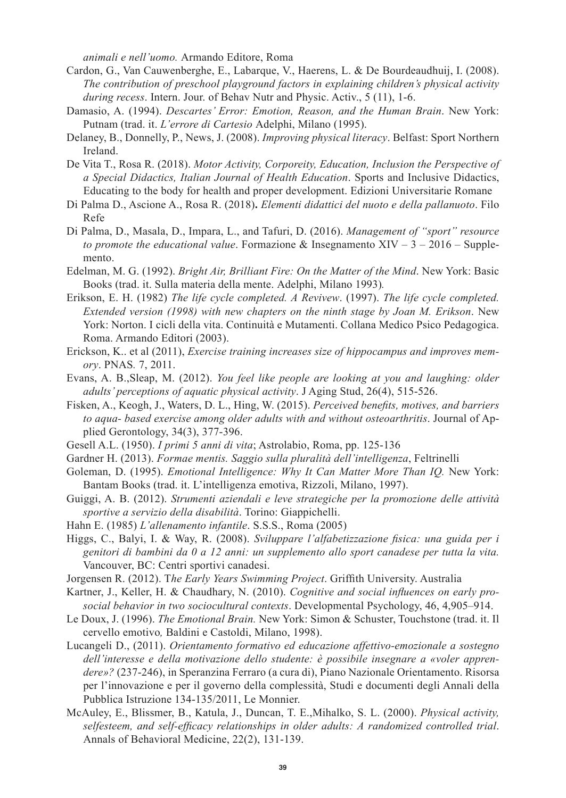*animali e nell'uomo.* Armando Editore, Roma

- Cardon, G., Van Cauwenberghe, E., Labarque, V., Haerens, L. & De Bourdeaudhuij, I. (2008). *The contribution of preschool playground factors in explaining children's physical activity during recess*. Intern. Jour. of Behav Nutr and Physic. Activ., 5 (11), 1-6.
- Damasio, A. (1994). *Descartes' Error: Emotion, Reason, and the Human Brain*. New York: Putnam (trad. it. *L'errore di Cartesio* Adelphi, Milano (1995).
- Delaney, B., Donnelly, P., News, J. (2008). *Improving physical literacy*. Belfast: Sport Northern Ireland.
- De Vita T., Rosa R. (2018). *Motor Activity, Corporeity, Education, Inclusion the Perspective of a Special Didactics, Italian Journal of Health Education*. Sports and Inclusive Didactics, Educating to the body for health and proper development. Edizioni Universitarie Romane
- Di Palma D., Ascione A., Rosa R. (2018)**.** *Elementi didattici del nuoto e della pallanuoto*. Filo Refe
- Di Palma, D., Masala, D., Impara, L., and Tafuri, D. (2016). *Management of "sport" resource to promote the educational value*. Formazione & Insegnamento XIV – 3 – 2016 – Supplemento.
- Edelman, M. G. (1992). *Bright Air, Brilliant Fire: On the Matter of the Mind*. New York: Basic Books (trad. it. Sulla materia della mente. Adelphi, Milano 1993)*.*
- Erikson, E. H. (1982) *The life cycle completed. A Revivew*. (1997). *The life cycle completed. Extended version (1998) with new chapters on the ninth stage by Joan M. Erikson*. New York: Norton. I cicli della vita. Continuità e Mutamenti. Collana Medico Psico Pedagogica. Roma. Armando Editori (2003).
- Erickson, K.. et al (2011), *Exercise training increases size of hippocampus and improves memory*. PNAS*.* 7, 2011.
- Evans, A. B.,Sleap, M. (2012). *You feel like people are looking at you and laughing: older adults' perceptions of aquatic physical activity*. J Aging Stud, 26(4), 515-526.
- Fisken, A., Keogh, J., Waters, D. L., Hing, W. (2015). *Perceived benefits, motives, and barriers to aqua- based exercise among older adults with and without osteoarthritis*. Journal of Applied Gerontology, 34(3), 377-396.
- Gesell A.L. (1950). *I primi 5 anni di vita*; Astrolabio, Roma, pp. 125-136
- Gardner H. (2013). *Formae mentis. Saggio sulla pluralità dell'intelligenza*, Feltrinelli
- Goleman, D. (1995). *Emotional Intelligence: Why It Can Matter More Than IQ.* New York: Bantam Books (trad. it. L'intelligenza emotiva, Rizzoli, Milano, 1997).
- Guiggi, A. B. (2012). *Strumenti aziendali e leve strategiche per la promozione delle attività sportive a servizio della disabilità*. Torino: Giappichelli.
- Hahn E. (1985) *L'allenamento infantile*. S.S.S., Roma (2005)
- Higgs, C., Balyi, I. & Way, R. (2008). *Sviluppare l'alfabetizzazione fisica: una guida per i genitori di bambini da 0 a 12 anni: un supplemento allo sport canadese per tutta la vita.* Vancouver, BC: Centri sportivi canadesi.
- Jorgensen R. (2012). T*he Early Years Swimming Project*. Griffith University. Australia
- Kartner, J., Keller, H. & Chaudhary, N. (2010). *Cognitive and social influences on early prosocial behavior in two sociocultural contexts*. Developmental Psychology, 46, 4,905–914.
- Le Doux, J. (1996). *The Emotional Brain.* New York: Simon & Schuster, Touchstone (trad. it. Il cervello emotivo*,* Baldini e Castoldi, Milano, 1998).
- Lucangeli D., (2011). *Orientamento formativo ed educazione affettivo-emozionale a sostegno dell'interesse e della motivazione dello studente: è possibile insegnare a «voler apprendere»?* (237-246), in Speranzina Ferraro (a cura di), Piano Nazionale Orientamento. Risorsa per l'innovazione e per il governo della complessità, Studi e documenti degli Annali della Pubblica Istruzione 134-135/2011, Le Monnier.
- McAuley, E., Blissmer, B., Katula, J., Duncan, T. E.,Mihalko, S. L. (2000). *Physical activity, selfesteem, and self-efficacy relationships in older adults: A randomized controlled trial*. Annals of Behavioral Medicine, 22(2), 131-139.